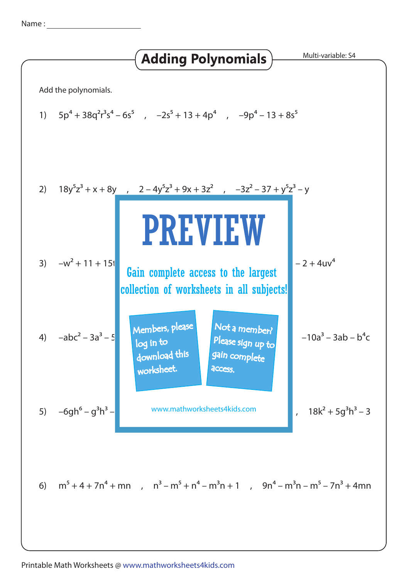